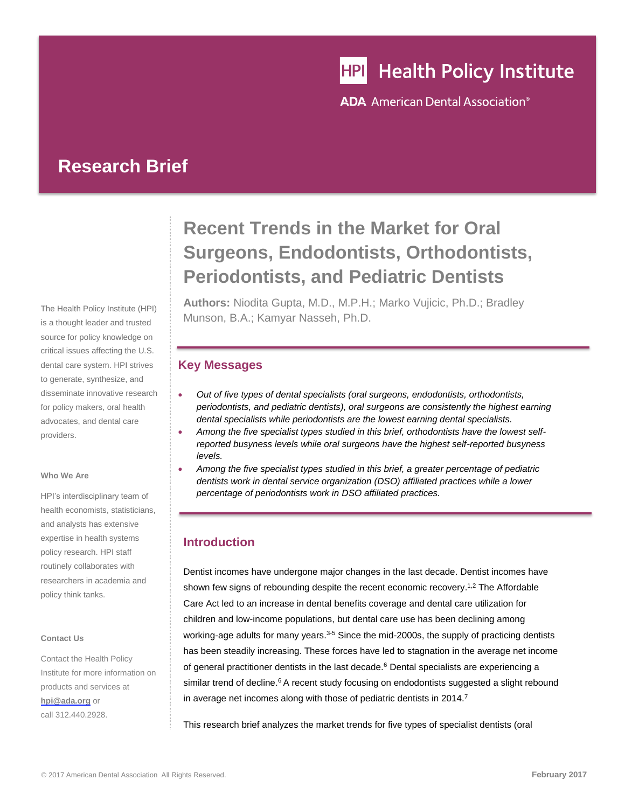# **HPI** Health Policy Institute

**ADA** American Dental Association<sup>®</sup>

# **Research Brief**

The Health Policy Institute (HPI) is a thought leader and trusted source for policy knowledge on critical issues affecting the U.S. dental care system. HPI strives to generate, synthesize, and disseminate innovative research for policy makers, oral health advocates, and dental care providers.

#### **Who We Are**

HPI's interdisciplinary team of health economists, statisticians, and analysts has extensive expertise in health systems policy research. HPI staff routinely collaborates with researchers in academia and policy think tanks.

#### **Contact Us**

Contact the Health Policy Institute for more information on products and services at **[hpi@ada.org](mailto:hpi@ada.org)** or call 312.440.2928.

# **Recent Trends in the Market for Oral Surgeons, Endodontists, Orthodontists, Periodontists, and Pediatric Dentists**

**Authors:** Niodita Gupta, M.D., M.P.H.; Marko Vujicic, Ph.D.; Bradley Munson, B.A.; Kamyar Nasseh, Ph.D.

# **Key Messages**

- *Out of five types of dental specialists (oral surgeons, endodontists, orthodontists, periodontists, and pediatric dentists), oral surgeons are consistently the highest earning dental specialists while periodontists are the lowest earning dental specialists.*
- *Among the five specialist types studied in this brief, orthodontists have the lowest selfreported busyness levels while oral surgeons have the highest self-reported busyness levels.*
- *Among the five specialist types studied in this brief, a greater percentage of pediatric dentists work in dental service organization (DSO) affiliated practices while a lower percentage of periodontists work in DSO affiliated practices.*

# **Introduction**

Dentist incomes have undergone major changes in the last decade. Dentist incomes have shown few signs of rebounding despite the recent economic recovery.<sup>1,2</sup> The Affordable Care Act led to an increase in dental benefits coverage and dental care utilization for children and low-income populations, but dental care use has been declining among working-age adults for many years.<sup>3-5</sup> Since the mid-2000s, the supply of practicing dentists has been steadily increasing. These forces have led to stagnation in the average net income of general practitioner dentists in the last decade.<sup>6</sup> Dental specialists are experiencing a similar trend of decline[.](#page-0-0)<sup>6</sup> A recent study focusing on endodontists suggested a slight rebound in average net incomes along with those of pediatric dentists in 2014.<sup>7</sup>

<span id="page-0-1"></span><span id="page-0-0"></span>This research brief analyzes the market trends for five types of specialist dentists (oral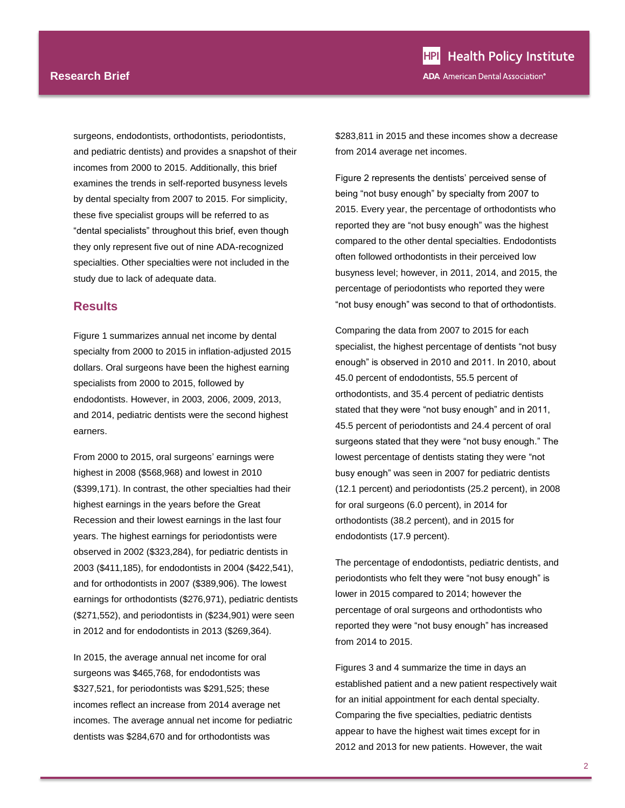surgeons, endodontists, orthodontists, periodontists, and pediatric dentists) and provides a snapshot of their incomes from 2000 to 2015. Additionally, this brief examines the trends in self-reported busyness levels by dental specialty from 2007 to 2015. For simplicity, these five specialist groups will be referred to as "dental specialists" throughout this brief, even though they only represent five out of nine ADA-recognized specialties. Other specialties were not included in the study due to lack of adequate data.

#### **Results**

Figure 1 summarizes annual net income by dental specialty from 2000 to 2015 in inflation-adjusted 2015 dollars. Oral surgeons have been the highest earning specialists from 2000 to 2015, followed by endodontists. However, in 2003, 2006, 2009, 2013, and 2014, pediatric dentists were the second highest earners.

From 2000 to 2015, oral surgeons' earnings were highest in 2008 (\$568,968) and lowest in 2010 (\$399,171). In contrast, the other specialties had their highest earnings in the years before the Great Recession and their lowest earnings in the last four years. The highest earnings for periodontists were observed in 2002 (\$323,284), for pediatric dentists in 2003 (\$411,185), for endodontists in 2004 (\$422,541), and for orthodontists in 2007 (\$389,906). The lowest earnings for orthodontists (\$276,971), pediatric dentists (\$271,552), and periodontists in (\$234,901) were seen in 2012 and for endodontists in 2013 (\$269,364).

In 2015, the average annual net income for oral surgeons was \$465,768, for endodontists was \$327,521, for periodontists was \$291,525; these incomes reflect an increase from 2014 average net incomes. The average annual net income for pediatric dentists was \$284,670 and for orthodontists was

\$283,811 in 2015 and these incomes show a decrease from 2014 average net incomes.

Figure 2 represents the dentists' perceived sense of being "not busy enough" by specialty from 2007 to 2015. Every year, the percentage of orthodontists who reported they are "not busy enough" was the highest compared to the other dental specialties. Endodontists often followed orthodontists in their perceived low busyness level; however, in 2011, 2014, and 2015, the percentage of periodontists who reported they were "not busy enough" was second to that of orthodontists.

Comparing the data from 2007 to 2015 for each specialist, the highest percentage of dentists "not busy enough" is observed in 2010 and 2011. In 2010, about 45.0 percent of endodontists, 55.5 percent of orthodontists, and 35.4 percent of pediatric dentists stated that they were "not busy enough" and in 2011, 45.5 percent of periodontists and 24.4 percent of oral surgeons stated that they were "not busy enough." The lowest percentage of dentists stating they were "not busy enough" was seen in 2007 for pediatric dentists (12.1 percent) and periodontists (25.2 percent), in 2008 for oral surgeons (6.0 percent), in 2014 for orthodontists (38.2 percent), and in 2015 for endodontists (17.9 percent).

The percentage of endodontists, pediatric dentists, and periodontists who felt they were "not busy enough" is lower in 2015 compared to 2014; however the percentage of oral surgeons and orthodontists who reported they were "not busy enough" has increased from 2014 to 2015.

Figures 3 and 4 summarize the time in days an established patient and a new patient respectively wait for an initial appointment for each dental specialty. Comparing the five specialties, pediatric dentists appear to have the highest wait times except for in 2012 and 2013 for new patients. However, the wait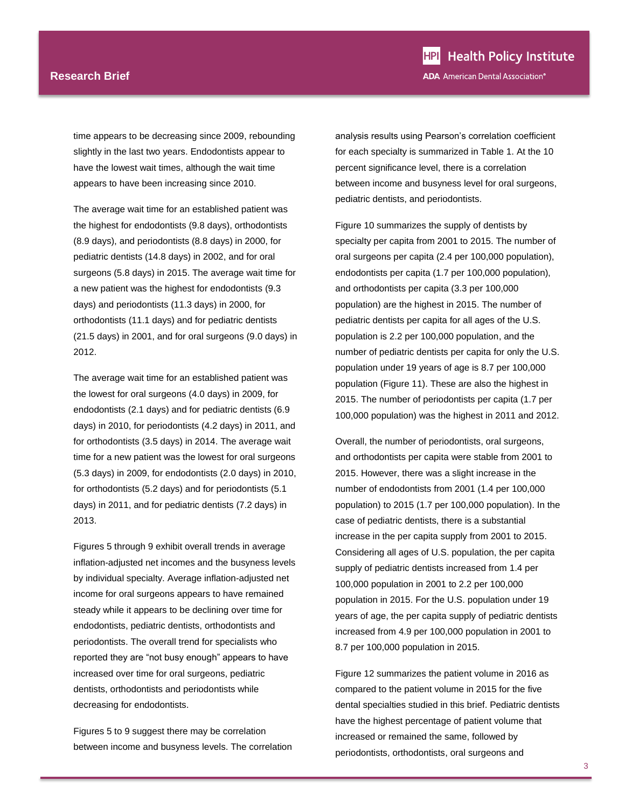time appears to be decreasing since 2009, rebounding slightly in the last two years. Endodontists appear to have the lowest wait times, although the wait time appears to have been increasing since 2010.

The average wait time for an established patient was the highest for endodontists (9.8 days), orthodontists (8.9 days), and periodontists (8.8 days) in 2000, for pediatric dentists (14.8 days) in 2002, and for oral surgeons (5.8 days) in 2015. The average wait time for a new patient was the highest for endodontists (9.3 days) and periodontists (11.3 days) in 2000, for orthodontists (11.1 days) and for pediatric dentists (21.5 days) in 2001, and for oral surgeons (9.0 days) in 2012.

The average wait time for an established patient was the lowest for oral surgeons (4.0 days) in 2009, for endodontists (2.1 days) and for pediatric dentists (6.9 days) in 2010, for periodontists (4.2 days) in 2011, and for orthodontists (3.5 days) in 2014. The average wait time for a new patient was the lowest for oral surgeons (5.3 days) in 2009, for endodontists (2.0 days) in 2010, for orthodontists (5.2 days) and for periodontists (5.1 days) in 2011, and for pediatric dentists (7.2 days) in 2013.

Figures 5 through 9 exhibit overall trends in average inflation-adjusted net incomes and the busyness levels by individual specialty. Average inflation-adjusted net income for oral surgeons appears to have remained steady while it appears to be declining over time for endodontists, pediatric dentists, orthodontists and periodontists. The overall trend for specialists who reported they are "not busy enough" appears to have increased over time for oral surgeons, pediatric dentists, orthodontists and periodontists while decreasing for endodontists.

Figures 5 to 9 suggest there may be correlation between income and busyness levels. The correlation analysis results using Pearson's correlation coefficient for each specialty is summarized in Table 1. At the 10 percent significance level, there is a correlation between income and busyness level for oral surgeons, pediatric dentists, and periodontists.

Figure 10 summarizes the supply of dentists by specialty per capita from 2001 to 2015. The number of oral surgeons per capita (2.4 per 100,000 population), endodontists per capita (1.7 per 100,000 population), and orthodontists per capita (3.3 per 100,000 population) are the highest in 2015. The number of pediatric dentists per capita for all ages of the U.S. population is 2.2 per 100,000 population, and the number of pediatric dentists per capita for only the U.S. population under 19 years of age is 8.7 per 100,000 population (Figure 11). These are also the highest in 2015. The number of periodontists per capita (1.7 per 100,000 population) was the highest in 2011 and 2012.

Overall, the number of periodontists, oral surgeons, and orthodontists per capita were stable from 2001 to 2015. However, there was a slight increase in the number of endodontists from 2001 (1.4 per 100,000 population) to 2015 (1.7 per 100,000 population). In the case of pediatric dentists, there is a substantial increase in the per capita supply from 2001 to 2015. Considering all ages of U.S. population, the per capita supply of pediatric dentists increased from 1.4 per 100,000 population in 2001 to 2.2 per 100,000 population in 2015. For the U.S. population under 19 years of age, the per capita supply of pediatric dentists increased from 4.9 per 100,000 population in 2001 to 8.7 per 100,000 population in 2015.

Figure 12 summarizes the patient volume in 2016 as compared to the patient volume in 2015 for the five dental specialties studied in this brief. Pediatric dentists have the highest percentage of patient volume that increased or remained the same, followed by periodontists, orthodontists, oral surgeons and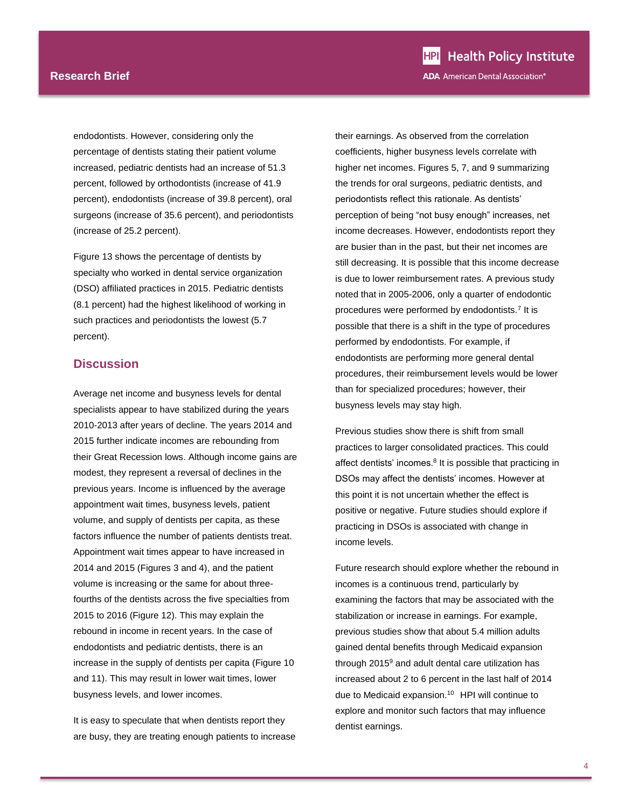endodontists. However, considering only the percentage of dentists stating their patient volume increased, pediatric dentists had an increase of 51.3 percent, followed by orthodontists (increase of 41.9 percent), endodontists (increase of 39.8 percent), oral surgeons (increase of 35.6 percent), and periodontists (increase of 25.2 percent).

Figure 13 shows the percentage of dentists by specialty who worked in dental service organization (DSO) affiliated practices in 2015. Pediatric dentists (8.1 percent) had the highest likelihood of working in such practices and periodontists the lowest (5.7 percent).

# **Discussion**

Average net income and busyness levels for dental specialists appear to have stabilized during the years 2010-2013 after years of decline. The years 2014 and 2015 further indicate incomes are rebounding from their Great Recession lows. Although income gains are modest, they represent a reversal of declines in the previous years. Income is influenced by the average appointment wait times, busyness levels, patient volume, and supply of dentists per capita, as these factors influence the number of patients dentists treat. Appointment wait times appear to have increased in 2014 and 2015 (Figures 3 and 4), and the patient volume is increasing or the same for about threefourths of the dentists across the five specialties from 2015 to 2016 (Figure 12). This may explain the rebound in income in recent years. In the case of endodontists and pediatric dentists, there is an increase in the supply of dentists per capita (Figure 10 and 11). This may result in lower wait times, lower busyness levels, and lower incomes.

It is easy to speculate that when dentists report they are busy, they are treating enough patients to increase their earnings. As observed from the correlation coefficients, higher busyness levels correlate with higher net incomes. Figures 5, 7, and 9 summarizing the trends for oral surgeons, pediatric dentists, and periodontists reflect this rationale. As dentists' perception of being "not busy enough" increases, net income decreases. However, endodontists report they are busier than in the past, but their net incomes are still decreasing. It is possible that this income decrease is due to lower reimbursement rates. A previous study noted that in 2005-2006, only a quarter of endodontic procedures were performed by endodontists.[7](#page-0-1) It is possible that there is a shift in the type of procedures performed by endodontists. For example, if endodontists are performing more general dental procedures, their reimbursement levels would be lower than for specialized procedures; however, their busyness levels may stay high.

Previous studies show there is shift from small practices to larger consolidated practices. This could affect dentists' incomes.<sup>8</sup> It is possible that practicing in DSOs may affect the dentists' incomes. However at this point it is not uncertain whether the effect is positive or negative. Future studies should explore if practicing in DSOs is associated with change in income levels.

Future research should explore whether the rebound in incomes is a continuous trend, particularly by examining the factors that may be associated with the stabilization or increase in earnings. For example, previous studies show that about 5.4 million adults gained dental benefits through Medicaid expansion through 2015<sup>9</sup> and adult dental care utilization has increased about 2 to 6 percent in the last half of 2014 due to Medicaid expansion.<sup>10</sup> HPI will continue to explore and monitor such factors that may influence dentist earnings.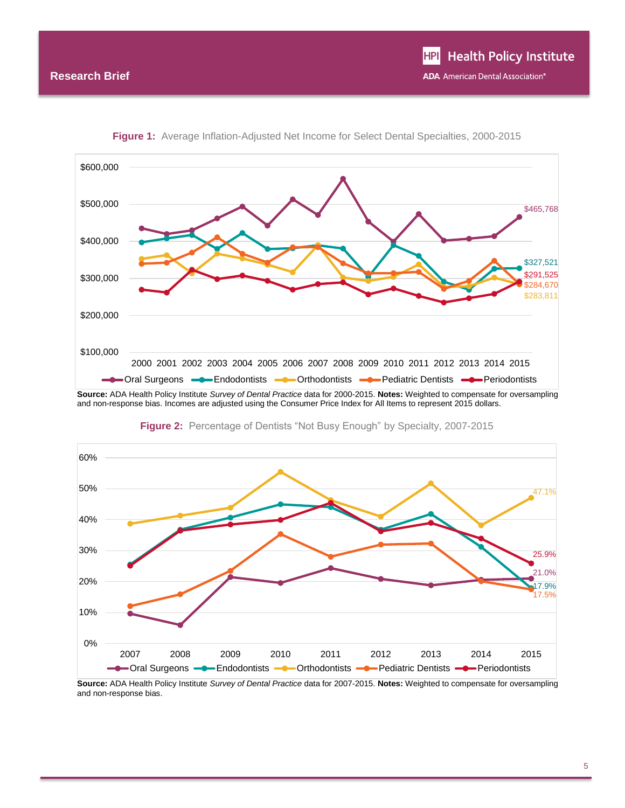



**Source:** ADA Health Policy Institute *Survey of Dental Practice* data for 2000-2015. **Notes:** Weighted to compensate for oversampling and non-response bias. Incomes are adjusted using the Consumer Price Index for All Items to represent 2015 dollars.



**Figure 2:** Percentage of Dentists "Not Busy Enough" by Specialty, 2007-2015

**Source:** ADA Health Policy Institute *Survey of Dental Practice* data for 2007-2015. **Notes:** Weighted to compensate for oversampling and non-response bias.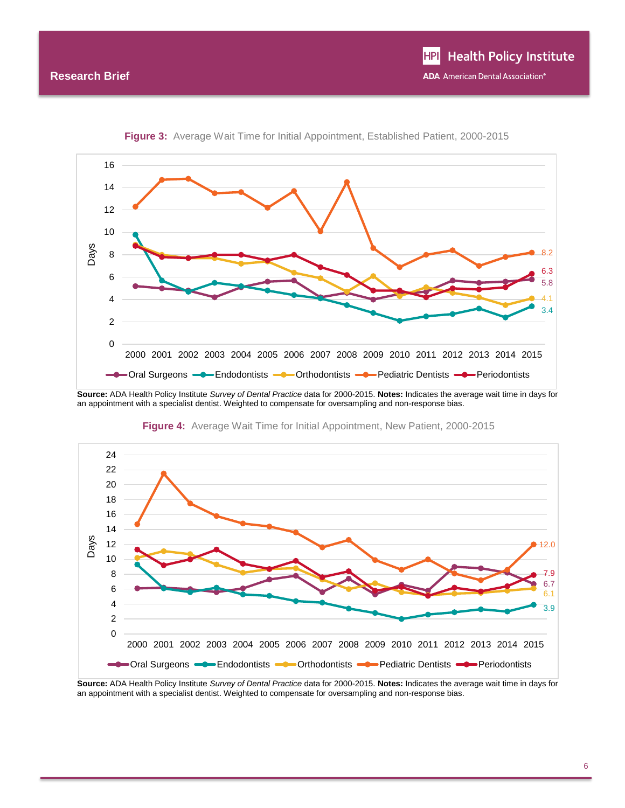

**Figure 3:** Average Wait Time for Initial Appointment, Established Patient, 2000-2015

**Source:** ADA Health Policy Institute *Survey of Dental Practice* data for 2000-2015. **Notes:** Indicates the average wait time in days for an appointment with a specialist dentist. Weighted to compensate for oversampling and non-response bias.



**Figure 4:** Average Wait Time for Initial Appointment, New Patient, 2000-2015

**Source:** ADA Health Policy Institute *Survey of Dental Practice* data for 2000-2015. **Notes:** Indicates the average wait time in days for an appointment with a specialist dentist. Weighted to compensate for oversampling and non-response bias.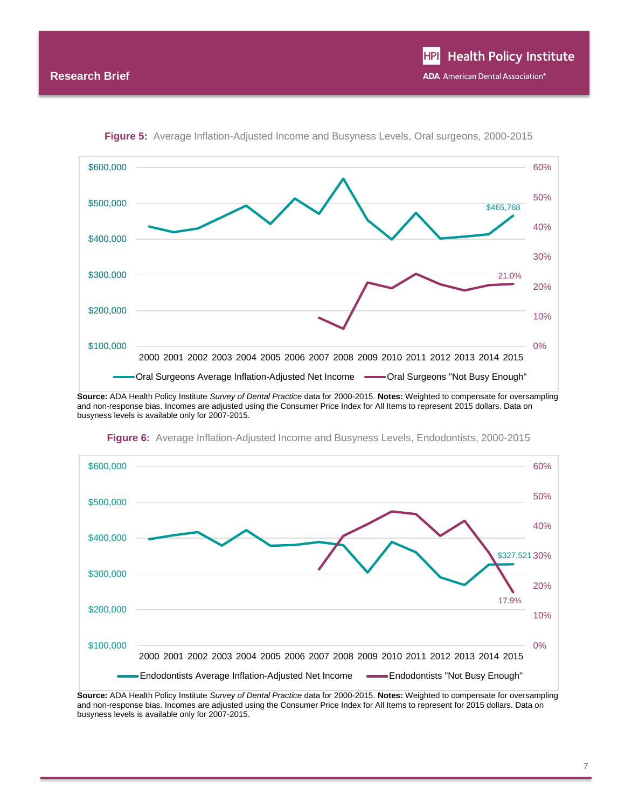

**Figure 5:** Average Inflation-Adjusted Income and Busyness Levels, Oral surgeons, 2000-2015

**Source:** ADA Health Policy Institute *Survey of Dental Practice* data for 2000-2015. **Notes:** Weighted to compensate for oversampling and non-response bias. Incomes are adjusted using the Consumer Price Index for All Items to represent 2015 dollars. Data on busyness levels is available only for 2007-2015.



**Figure 6:** Average Inflation-Adjusted Income and Busyness Levels, Endodontists, 2000-2015

**Source:** ADA Health Policy Institute *Survey of Dental Practice* data for 2000-2015. **Notes:** Weighted to compensate for oversampling and non-response bias. Incomes are adjusted using the Consumer Price Index for All Items to represent for 2015 dollars. Data on busyness levels is available only for 2007-2015.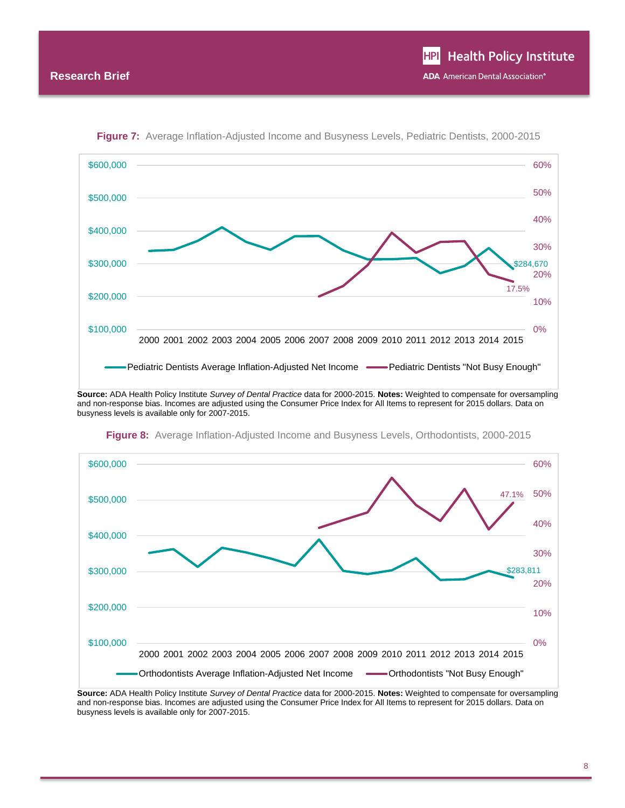

**Figure 7:** Average Inflation-Adjusted Income and Busyness Levels, Pediatric Dentists, 2000-2015

**Source:** ADA Health Policy Institute *Survey of Dental Practice* data for 2000-2015. **Notes:** Weighted to compensate for oversampling and non-response bias. Incomes are adjusted using the Consumer Price Index for All Items to represent for 2015 dollars. Data on busyness levels is available only for 2007-2015.



**Figure 8:** Average Inflation-Adjusted Income and Busyness Levels, Orthodontists, 2000-2015

**Source:** ADA Health Policy Institute *Survey of Dental Practice* data for 2000-2015. **Notes:** Weighted to compensate for oversampling and non-response bias. Incomes are adjusted using the Consumer Price Index for All Items to represent for 2015 dollars. Data on busyness levels is available only for 2007-2015.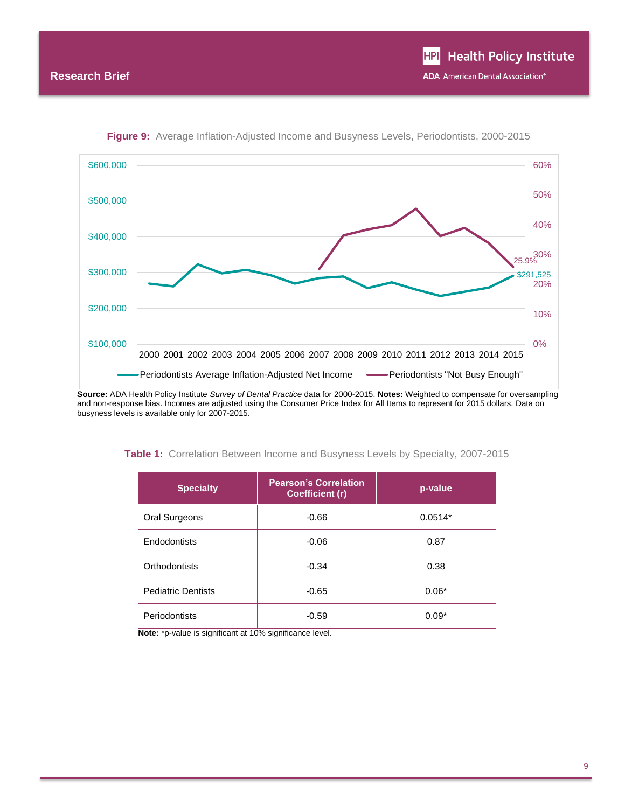

**Figure 9:** Average Inflation-Adjusted Income and Busyness Levels, Periodontists, 2000-2015

**Source:** ADA Health Policy Institute *Survey of Dental Practice* data for 2000-2015. **Notes:** Weighted to compensate for oversampling and non-response bias. Incomes are adjusted using the Consumer Price Index for All Items to represent for 2015 dollars. Data on busyness levels is available only for 2007-2015.

| <b>Specialty</b>          | <b>Pearson's Correlation</b><br><b>Coefficient (r)</b> | p-value   |
|---------------------------|--------------------------------------------------------|-----------|
| Oral Surgeons             | $-0.66$                                                | $0.0514*$ |
| Endodontists              | $-0.06$                                                | 0.87      |
| Orthodontists             | $-0.34$                                                | 0.38      |
| <b>Pediatric Dentists</b> | $-0.65$                                                | $0.06*$   |
| Periodontists             | $-0.59$                                                | $0.09*$   |

**Table 1:** Correlation Between Income and Busyness Levels by Specialty, 2007-2015

**Note:** \*p-value is significant at 10% significance level.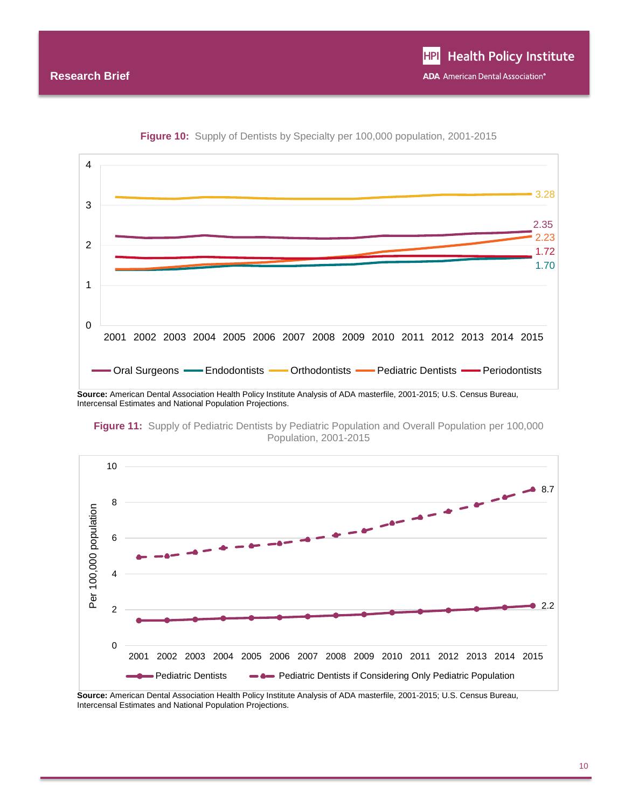

**Figure 10:** Supply of Dentists by Specialty per 100,000 population, 2001-2015

**Figure 11:** Supply of Pediatric Dentists by Pediatric Population and Overall Population per 100,000 Population, 2001-2015



**Source:** American Dental Association Health Policy Institute Analysis of ADA masterfile, 2001-2015; U.S. Census Bureau, Intercensal Estimates and National Population Projections.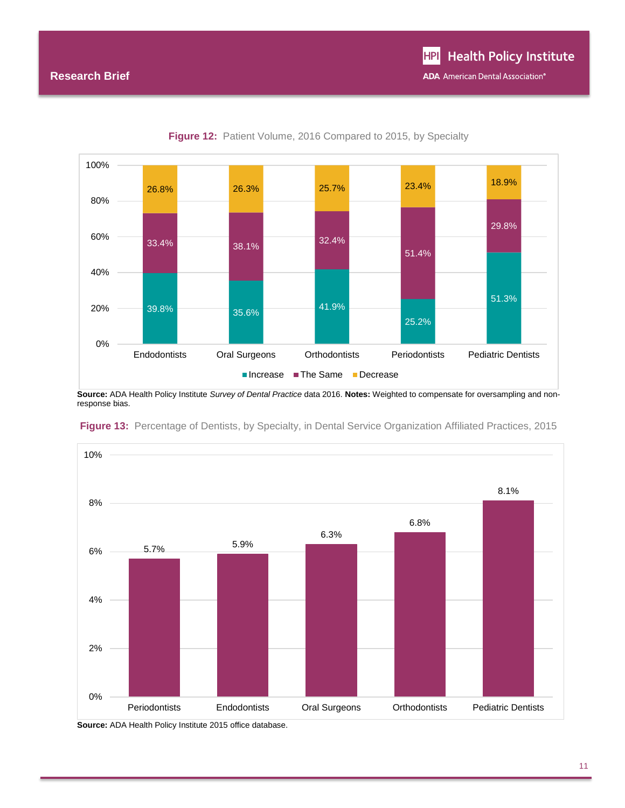

Figure 12: Patient Volume, 2016 Compared to 2015, by Specialty

**Source:** ADA Health Policy Institute *Survey of Dental Practice* data 2016. **Notes:** Weighted to compensate for oversampling and nonresponse bias.



**Figure 13:** Percentage of Dentists, by Specialty, in Dental Service Organization Affiliated Practices, 2015

**Source:** ADA Health Policy Institute 2015 office database.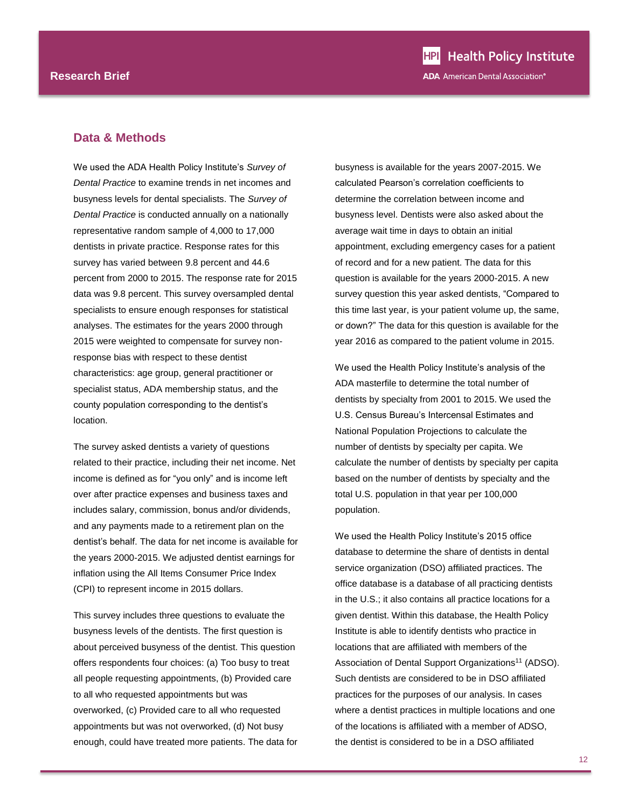### **Data & Methods**

We used the ADA Health Policy Institute's *Survey of Dental Practice* to examine trends in net incomes and busyness levels for dental specialists. The *Survey of Dental Practice* is conducted annually on a nationally representative random sample of 4,000 to 17,000 dentists in private practice. Response rates for this survey has varied between 9.8 percent and 44.6 percent from 2000 to 2015. The response rate for 2015 data was 9.8 percent. This survey oversampled dental specialists to ensure enough responses for statistical analyses. The estimates for the years 2000 through 2015 were weighted to compensate for survey nonresponse bias with respect to these dentist characteristics: age group, general practitioner or specialist status, ADA membership status, and the county population corresponding to the dentist's location.

The survey asked dentists a variety of questions related to their practice, including their net income. Net income is defined as for "you only" and is income left over after practice expenses and business taxes and includes salary, commission, bonus and/or dividends, and any payments made to a retirement plan on the dentist's behalf. The data for net income is available for the years 2000-2015. We adjusted dentist earnings for inflation using the All Items Consumer Price Index (CPI) to represent income in 2015 dollars.

This survey includes three questions to evaluate the busyness levels of the dentists. The first question is about perceived busyness of the dentist. This question offers respondents four choices: (a) Too busy to treat all people requesting appointments, (b) Provided care to all who requested appointments but was overworked, (c) Provided care to all who requested appointments but was not overworked, (d) Not busy enough, could have treated more patients. The data for

busyness is available for the years 2007-2015. We calculated Pearson's correlation coefficients to determine the correlation between income and busyness level. Dentists were also asked about the average wait time in days to obtain an initial appointment, excluding emergency cases for a patient of record and for a new patient. The data for this question is available for the years 2000-2015. A new survey question this year asked dentists, "Compared to this time last year, is your patient volume up, the same, or down?" The data for this question is available for the year 2016 as compared to the patient volume in 2015.

We used the Health Policy Institute's analysis of the ADA masterfile to determine the total number of dentists by specialty from 2001 to 2015. We used the U.S. Census Bureau's Intercensal Estimates and National Population Projections to calculate the number of dentists by specialty per capita. We calculate the number of dentists by specialty per capita based on the number of dentists by specialty and the total U.S. population in that year per 100,000 population.

We used the Health Policy Institute's 2015 office database to determine the share of dentists in dental service organization (DSO) affiliated practices. The office database is a database of all practicing dentists in the U.S.; it also contains all practice locations for a given dentist. Within this database, the Health Policy Institute is able to identify dentists who practice in locations that are affiliated with members of the Association of Dental Support Organizations<sup>11</sup> (ADSO). Such dentists are considered to be in DSO affiliated practices for the purposes of our analysis. In cases where a dentist practices in multiple locations and one of the locations is affiliated with a member of ADSO, the dentist is considered to be in a DSO affiliated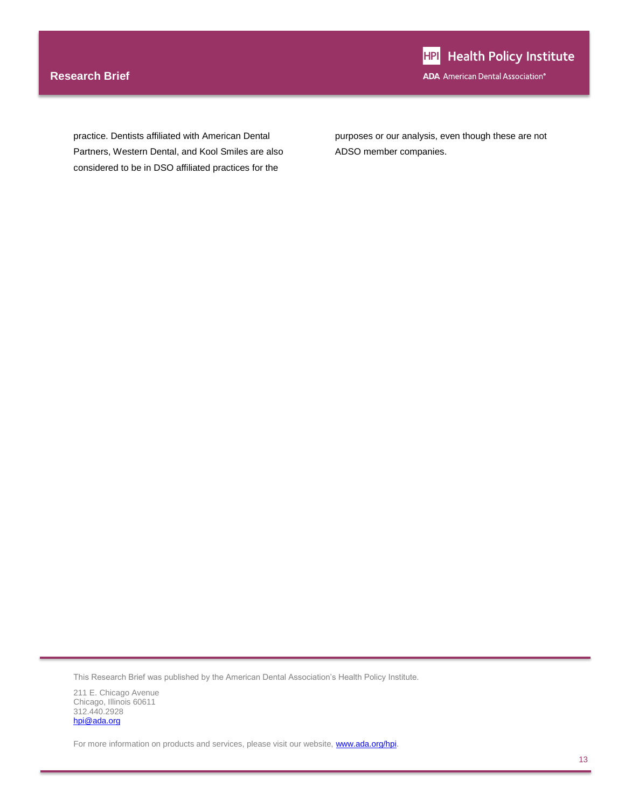# **Research Brief**

practice. Dentists affiliated with American Dental Partners, Western Dental, and Kool Smiles are also considered to be in DSO affiliated practices for the

purposes or our analysis, even though these are not ADSO member companies.

This Research Brief was published by the American Dental Association's Health Policy Institute.

211 E. Chicago Avenue Chicago, Illinois 60611 312.440.2928 [hpi@ada.org](mailto:hpi@ada.org)

For more information on products and services, please visit our website, **www.ada.org/hpi**.